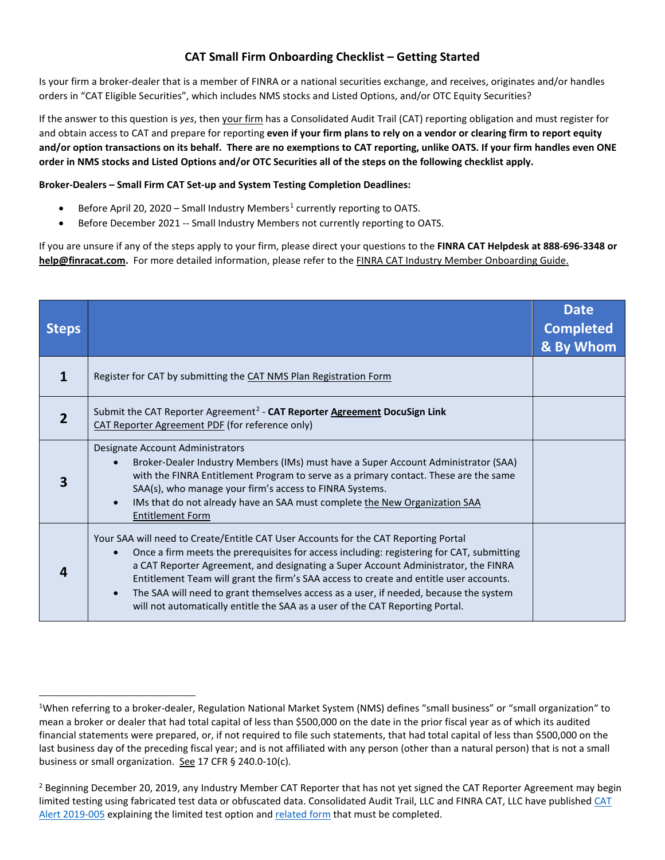## **CAT Small Firm Onboarding Checklist – Getting Started**

Is your firm a broker-dealer that is a member of FINRA or a national securities exchange, and receives, originates and/or handles orders in "CAT Eligible Securities", which includes NMS stocks and Listed Options, and/or OTC Equity Securities?

If the answer to this question is *yes*, then your firm has a Consolidated Audit Trail (CAT) reporting obligation and must register for and obtain access to CAT and prepare for reporting **even if your firm plans to rely on a vendor or clearing firm to report equity and/or option transactions on its behalf. There are no exemptions to CAT reporting, unlike OATS. If your firm handles even ONE order in NMS stocks and Listed Options and/or OTC Securities all of the steps on the following checklist apply.**

## **Broker-Dealers – Small Firm CAT Set-up and System Testing Completion Deadlines:**

- Before April 20, 2020 Small Industry Members<sup>[1](#page-0-0)</sup> currently reporting to OATS.
- Before December 2021 -- Small Industry Members not currently reporting to OATS.

If you are unsure if any of the steps apply to your firm, please direct your questions to the **FINRA CAT Helpdesk at 888-696-3348 or [help@finracat.com.](mailto:help@finracat.com)** For more detailed information, please refer to the FINRA CAT Industry Member [Onboarding](https://www.catnmsplan.com/wp-content/uploads/2019/11/FINRA-CAT-Onboarding-Guide-V1.3.pdf) Guide.

| <b>Steps</b> |                                                                                                                                                                                                                                                                                                                                                                                                                                                                                                                                            | <b>Date</b><br><b>Completed</b><br>& By Whom |
|--------------|--------------------------------------------------------------------------------------------------------------------------------------------------------------------------------------------------------------------------------------------------------------------------------------------------------------------------------------------------------------------------------------------------------------------------------------------------------------------------------------------------------------------------------------------|----------------------------------------------|
|              | Register for CAT by submitting the CAT NMS Plan Registration Form                                                                                                                                                                                                                                                                                                                                                                                                                                                                          |                                              |
| 2            | Submit the CAT Reporter Agreement <sup>2</sup> - CAT Reporter Agreement DocuSign Link<br>CAT Reporter Agreement PDF (for reference only)                                                                                                                                                                                                                                                                                                                                                                                                   |                                              |
|              | Designate Account Administrators<br>Broker-Dealer Industry Members (IMs) must have a Super Account Administrator (SAA)<br>with the FINRA Entitlement Program to serve as a primary contact. These are the same<br>SAA(s), who manage your firm's access to FINRA Systems.<br>IMs that do not already have an SAA must complete the New Organization SAA<br><b>Entitlement Form</b>                                                                                                                                                         |                                              |
|              | Your SAA will need to Create/Entitle CAT User Accounts for the CAT Reporting Portal<br>Once a firm meets the prerequisites for access including: registering for CAT, submitting<br>a CAT Reporter Agreement, and designating a Super Account Administrator, the FINRA<br>Entitlement Team will grant the firm's SAA access to create and entitle user accounts.<br>The SAA will need to grant themselves access as a user, if needed, because the system<br>will not automatically entitle the SAA as a user of the CAT Reporting Portal. |                                              |

<span id="page-0-0"></span> $\overline{1}$ <sup>1</sup>When referring to a broker-dealer, Regulation National Market System (NMS) defines "small business" or "small organization" to mean a broker or dealer that had total capital of less than \$500,000 on the date in the prior fiscal year as of which its audited financial statements were prepared, or, if not required to file such statements, that had total capital of less than \$500,000 on the last business day of the preceding fiscal year; and is not affiliated with any person (other than a natural person) that is not a small business or small organization. See 17 CFR § 240.0-10(c).

<span id="page-0-1"></span><sup>&</sup>lt;sup>2</sup> Beginning December 20, 2019, any Industry Member CAT Reporter that has not yet signed the CAT Reporter Agreement may begin limited testing using fabricated test data or obfuscated data. Consolidated Audit Trail, LLC and FINRA CAT, LLC have published CAT [Alert 2019-005](https://www.catnmsplan.com/wp-content/uploads/2019/12/CAT-Alert-2019-005.pdf) explaining the limited test option an[d related form](https://www.catnmsplan.com/wp-content/uploads/2019/12/IM-Limited-Testing-Acknowledgement-Form.pdf) that must be completed.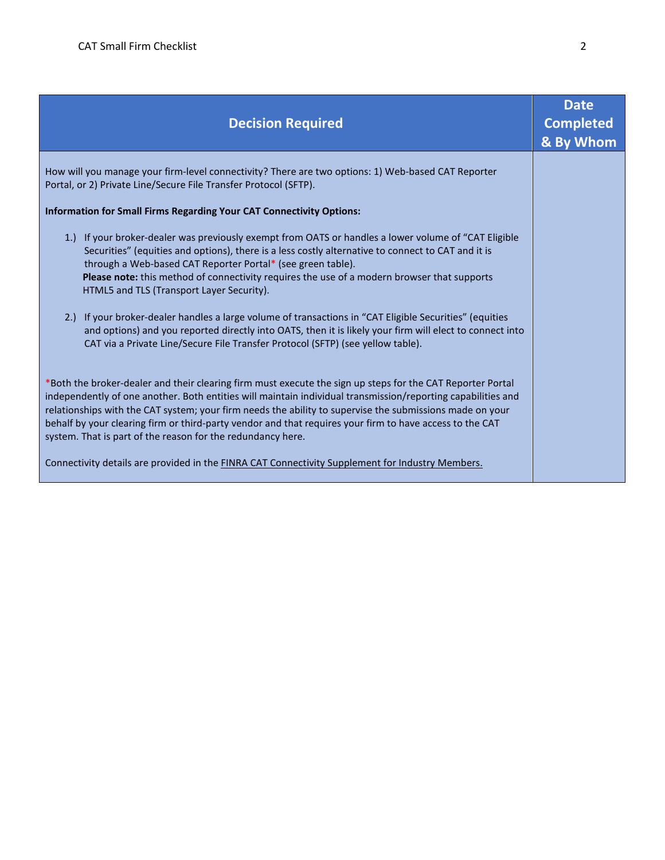| <b>Decision Required</b>                                                                                                                                                                                                                                                                                                                                                                                                                                                                                                                                                                                              | <b>Date</b><br><b>Completed</b><br>& By Whom |
|-----------------------------------------------------------------------------------------------------------------------------------------------------------------------------------------------------------------------------------------------------------------------------------------------------------------------------------------------------------------------------------------------------------------------------------------------------------------------------------------------------------------------------------------------------------------------------------------------------------------------|----------------------------------------------|
| How will you manage your firm-level connectivity? There are two options: 1) Web-based CAT Reporter<br>Portal, or 2) Private Line/Secure File Transfer Protocol (SFTP).                                                                                                                                                                                                                                                                                                                                                                                                                                                |                                              |
| <b>Information for Small Firms Regarding Your CAT Connectivity Options:</b>                                                                                                                                                                                                                                                                                                                                                                                                                                                                                                                                           |                                              |
| 1.) If your broker-dealer was previously exempt from OATS or handles a lower volume of "CAT Eligible<br>Securities" (equities and options), there is a less costly alternative to connect to CAT and it is<br>through a Web-based CAT Reporter Portal* (see green table).<br>Please note: this method of connectivity requires the use of a modern browser that supports<br>HTML5 and TLS (Transport Layer Security).                                                                                                                                                                                                 |                                              |
| 2.) If your broker-dealer handles a large volume of transactions in "CAT Eligible Securities" (equities<br>and options) and you reported directly into OATS, then it is likely your firm will elect to connect into<br>CAT via a Private Line/Secure File Transfer Protocol (SFTP) (see yellow table).                                                                                                                                                                                                                                                                                                                |                                              |
| *Both the broker-dealer and their clearing firm must execute the sign up steps for the CAT Reporter Portal<br>independently of one another. Both entities will maintain individual transmission/reporting capabilities and<br>relationships with the CAT system; your firm needs the ability to supervise the submissions made on your<br>behalf by your clearing firm or third-party vendor and that requires your firm to have access to the CAT<br>system. That is part of the reason for the redundancy here.<br>Connectivity details are provided in the FINRA CAT Connectivity Supplement for Industry Members. |                                              |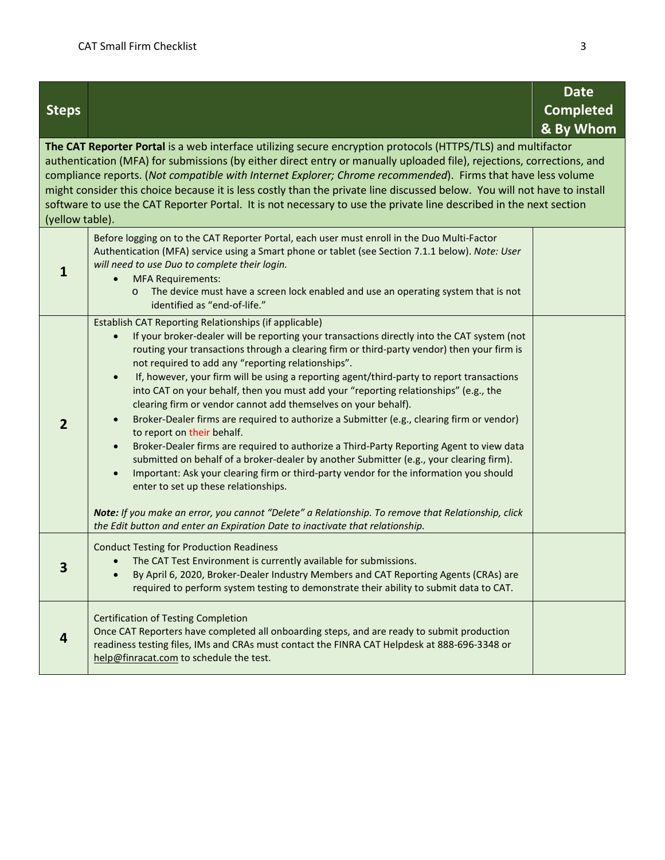|                                                                                                                                                                                                                                                                                                                                                                                                                                                                                                                                                                                                                            |                                                                                                                                                                                                                                                                                                                                                                                                                                                                                                                                                                                                                                                                                                                                                                                                                                                                                                                                                                                                                                                                                                                                                                                            | <b>Date</b>      |  |  |
|----------------------------------------------------------------------------------------------------------------------------------------------------------------------------------------------------------------------------------------------------------------------------------------------------------------------------------------------------------------------------------------------------------------------------------------------------------------------------------------------------------------------------------------------------------------------------------------------------------------------------|--------------------------------------------------------------------------------------------------------------------------------------------------------------------------------------------------------------------------------------------------------------------------------------------------------------------------------------------------------------------------------------------------------------------------------------------------------------------------------------------------------------------------------------------------------------------------------------------------------------------------------------------------------------------------------------------------------------------------------------------------------------------------------------------------------------------------------------------------------------------------------------------------------------------------------------------------------------------------------------------------------------------------------------------------------------------------------------------------------------------------------------------------------------------------------------------|------------------|--|--|
| <b>Steps</b>                                                                                                                                                                                                                                                                                                                                                                                                                                                                                                                                                                                                               |                                                                                                                                                                                                                                                                                                                                                                                                                                                                                                                                                                                                                                                                                                                                                                                                                                                                                                                                                                                                                                                                                                                                                                                            | <b>Completed</b> |  |  |
|                                                                                                                                                                                                                                                                                                                                                                                                                                                                                                                                                                                                                            |                                                                                                                                                                                                                                                                                                                                                                                                                                                                                                                                                                                                                                                                                                                                                                                                                                                                                                                                                                                                                                                                                                                                                                                            | & By Whom        |  |  |
| The CAT Reporter Portal is a web interface utilizing secure encryption protocols (HTTPS/TLS) and multifactor<br>authentication (MFA) for submissions (by either direct entry or manually uploaded file), rejections, corrections, and<br>compliance reports. (Not compatible with Internet Explorer; Chrome recommended). Firms that have less volume<br>might consider this choice because it is less costly than the private line discussed below. You will not have to install<br>software to use the CAT Reporter Portal. It is not necessary to use the private line described in the next section<br>(yellow table). |                                                                                                                                                                                                                                                                                                                                                                                                                                                                                                                                                                                                                                                                                                                                                                                                                                                                                                                                                                                                                                                                                                                                                                                            |                  |  |  |
| $\mathbf{1}$                                                                                                                                                                                                                                                                                                                                                                                                                                                                                                                                                                                                               | Before logging on to the CAT Reporter Portal, each user must enroll in the Duo Multi-Factor<br>Authentication (MFA) service using a Smart phone or tablet (see Section 7.1.1 below). Note: User<br>will need to use Duo to complete their login.<br><b>MFA Requirements:</b><br>The device must have a screen lock enabled and use an operating system that is not<br>$\circ$<br>identified as "end-of-life."                                                                                                                                                                                                                                                                                                                                                                                                                                                                                                                                                                                                                                                                                                                                                                              |                  |  |  |
| $\overline{2}$                                                                                                                                                                                                                                                                                                                                                                                                                                                                                                                                                                                                             | Establish CAT Reporting Relationships (if applicable)<br>If your broker-dealer will be reporting your transactions directly into the CAT system (not<br>$\bullet$<br>routing your transactions through a clearing firm or third-party vendor) then your firm is<br>not required to add any "reporting relationships".<br>If, however, your firm will be using a reporting agent/third-party to report transactions<br>$\bullet$<br>into CAT on your behalf, then you must add your "reporting relationships" (e.g., the<br>clearing firm or vendor cannot add themselves on your behalf).<br>Broker-Dealer firms are required to authorize a Submitter (e.g., clearing firm or vendor)<br>$\bullet$<br>to report on their behalf.<br>Broker-Dealer firms are required to authorize a Third-Party Reporting Agent to view data<br>$\bullet$<br>submitted on behalf of a broker-dealer by another Submitter (e.g., your clearing firm).<br>Important: Ask your clearing firm or third-party vendor for the information you should<br>$\bullet$<br>enter to set up these relationships.<br>Note: If you make an error, you cannot "Delete" a Relationship. To remove that Relationship, click |                  |  |  |
|                                                                                                                                                                                                                                                                                                                                                                                                                                                                                                                                                                                                                            | the Edit button and enter an Expiration Date to inactivate that relationship.                                                                                                                                                                                                                                                                                                                                                                                                                                                                                                                                                                                                                                                                                                                                                                                                                                                                                                                                                                                                                                                                                                              |                  |  |  |
|                                                                                                                                                                                                                                                                                                                                                                                                                                                                                                                                                                                                                            | <b>Conduct Testing for Production Readiness</b><br>The CAT Test Environment is currently available for submissions.<br>By April 6, 2020, Broker-Dealer Industry Members and CAT Reporting Agents (CRAs) are<br>required to perform system testing to demonstrate their ability to submit data to CAT.                                                                                                                                                                                                                                                                                                                                                                                                                                                                                                                                                                                                                                                                                                                                                                                                                                                                                      |                  |  |  |
| 4                                                                                                                                                                                                                                                                                                                                                                                                                                                                                                                                                                                                                          | <b>Certification of Testing Completion</b><br>Once CAT Reporters have completed all onboarding steps, and are ready to submit production<br>readiness testing files, IMs and CRAs must contact the FINRA CAT Helpdesk at 888-696-3348 or<br>help@finracat.com to schedule the test.                                                                                                                                                                                                                                                                                                                                                                                                                                                                                                                                                                                                                                                                                                                                                                                                                                                                                                        |                  |  |  |